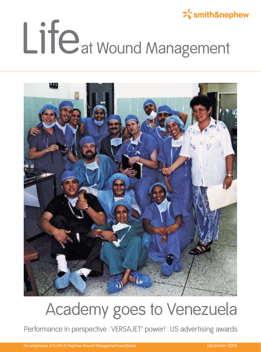### $\sum_{n=1}^{\infty}$ smith&nephew Lifeat Wound Management



#### Academy goes to Venezuela

Performance in perspective | VERSAJET<sup>®</sup> power! | US advertising awards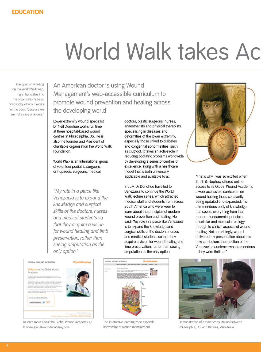# World Walk takes Ac

The Spanish wording on the World Walk logo, right, translates into the organisation's basic philosophy of why it works for the poor: "Because we are not a race of angels."

An American doctor is using Wound Management's web-accessible curriculum to promote wound prevention and healing across the developing world

Lower extremity wound specialist Dr Neil Donohue works full time at three hospital-based wound centres in Philadelphia, US. He is also the founder and President of charitable organisation the World Walk Foundation.

World Walk is an international group of volunteer podiatric surgeons, orthopaedic surgeons, medical

*' My role in a place like Venezuela is to expand the knowledge and surgical skills of the doctors, nurses and medical students so that they acquire a vision for wound healing and limb preservation, rather than seeing amputation as the only option.'*

doctors, plastic surgeons, nurses, anaesthetists and physical therapists specialising in diseases and deformities of the lower extremity, especially those linked to diabetes and congenital abnormalities, such as clubfoot. It takes an active role in reducing podiatric problems worldwide by developing a series of centres of excellence, along with a healthcare model that is both universally applicable and available to all.

In July, Dr Donohue travelled to Venezuela to continue the World Walk lecture series, which attracted medical staff and students from across South America who were keen to learn about the principles of modern wound prevention and healing. He said: "My role in a place like Venezuela is to expand the knowledge and surgical skills of the doctors, nurses and medical students so that they acquire a vision for wound healing and limb preservation, rather than seeing amputation as the only option.



"That's why I was so excited when Smith & Nephew offered online access to its Global Wound Academy, a web-accessible curriculum on wound healing that's constantly being updated and expanded. It's a tremendous body of knowledge that covers everything from the modern, fundamental principles of cellular and molecular biology through to clinical aspects of wound healing. Not surprisingly, when I delivered my presentation about this new curriculum, the reaction of the Venezuelan audience was tremendous – they were thrilled!"



To learn more about the Global Wound Academy go to www.globalwoundacademy.com



The interactive learning zone expands knowledge of wound management



Demonstration of a cyber consultation between Philadelphia, US, and Barinas, Venezuela